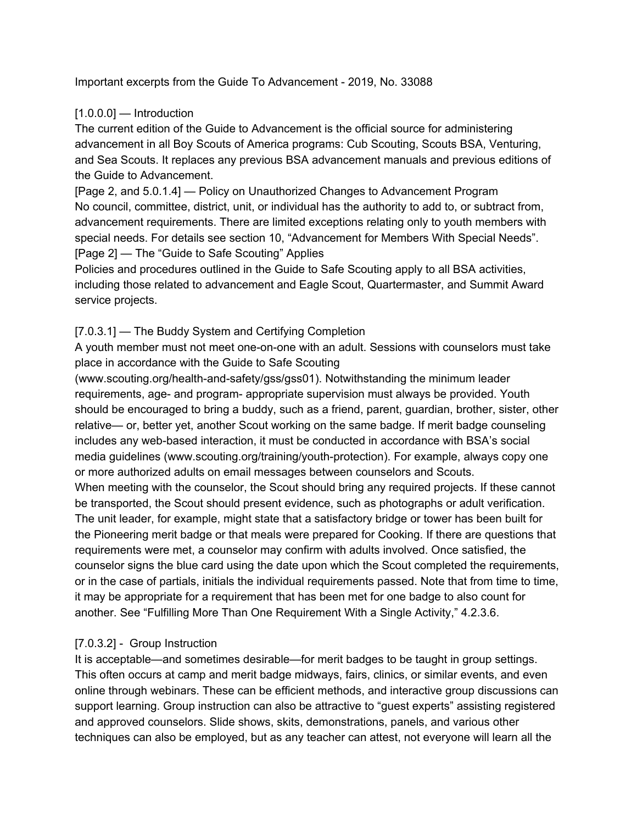Important excerpts from the Guide To Advancement - 2019, No. 33088

### $[1.0.0.0]$  — Introduction

The current edition of the Guide to Advancement is the official source for administering advancement in all Boy Scouts of America programs: Cub Scouting, Scouts BSA, Venturing, and Sea Scouts. It replaces any previous BSA advancement manuals and previous editions of the Guide to Advancement.

[Page 2, and 5.0.1.4] — Policy on Unauthorized Changes to Advancement Program No council, committee, district, unit, or individual has the authority to add to, or subtract from, advancement requirements. There are limited exceptions relating only to youth members with special needs. For details see section 10, "Advancement for Members With Special Needs". [Page 2] — The "Guide to Safe Scouting" Applies

Policies and procedures outlined in the Guide to Safe Scouting apply to all BSA activities, including those related to advancement and Eagle Scout, Quartermaster, and Summit Award service projects.

## [7.0.3.1] — The Buddy System and Certifying Completion

A youth member must not meet one-on-one with an adult. Sessions with counselors must take place in accordance with the Guide to Safe Scouting

(www.scouting.org/health-and-safety/gss/gss01). Notwithstanding the minimum leader requirements, age- and program- appropriate supervision must always be provided. Youth should be encouraged to bring a buddy, such as a friend, parent, guardian, brother, sister, other relative— or, better yet, another Scout working on the same badge. If merit badge counseling includes any web-based interaction, it must be conducted in accordance with BSA's social media guidelines (www.scouting.org/training/youth-protection). For example, always copy one or more authorized adults on email messages between counselors and Scouts.

When meeting with the counselor, the Scout should bring any required projects. If these cannot be transported, the Scout should present evidence, such as photographs or adult verification. The unit leader, for example, might state that a satisfactory bridge or tower has been built for the Pioneering merit badge or that meals were prepared for Cooking. If there are questions that requirements were met, a counselor may confirm with adults involved. Once satisfied, the counselor signs the blue card using the date upon which the Scout completed the requirements, or in the case of partials, initials the individual requirements passed. Note that from time to time, it may be appropriate for a requirement that has been met for one badge to also count for another. See "Fulfilling More Than One Requirement With a Single Activity," 4.2.3.6.

# [7.0.3.2] - Group Instruction

It is acceptable—and sometimes desirable—for merit badges to be taught in group settings. This often occurs at camp and merit badge midways, fairs, clinics, or similar events, and even online through webinars. These can be efficient methods, and interactive group discussions can support learning. Group instruction can also be attractive to "guest experts" assisting registered and approved counselors. Slide shows, skits, demonstrations, panels, and various other techniques can also be employed, but as any teacher can attest, not everyone will learn all the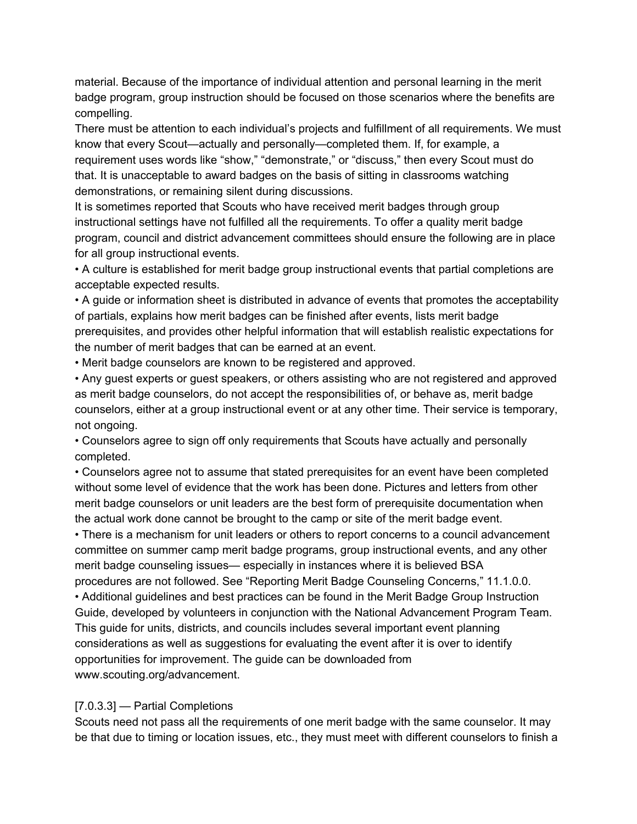material. Because of the importance of individual attention and personal learning in the merit badge program, group instruction should be focused on those scenarios where the benefits are compelling.

There must be attention to each individual's projects and fulfillment of all requirements. We must know that every Scout—actually and personally—completed them. If, for example, a requirement uses words like "show," "demonstrate," or "discuss," then every Scout must do that. It is unacceptable to award badges on the basis of sitting in classrooms watching demonstrations, or remaining silent during discussions.

It is sometimes reported that Scouts who have received merit badges through group instructional settings have not fulfilled all the requirements. To offer a quality merit badge program, council and district advancement committees should ensure the following are in place for all group instructional events.

• A culture is established for merit badge group instructional events that partial completions are acceptable expected results.

• A guide or information sheet is distributed in advance of events that promotes the acceptability of partials, explains how merit badges can be finished after events, lists merit badge prerequisites, and provides other helpful information that will establish realistic expectations for the number of merit badges that can be earned at an event.

• Merit badge counselors are known to be registered and approved.

• Any guest experts or guest speakers, or others assisting who are not registered and approved as merit badge counselors, do not accept the responsibilities of, or behave as, merit badge counselors, either at a group instructional event or at any other time. Their service is temporary, not ongoing.

• Counselors agree to sign off only requirements that Scouts have actually and personally completed.

• Counselors agree not to assume that stated prerequisites for an event have been completed without some level of evidence that the work has been done. Pictures and letters from other merit badge counselors or unit leaders are the best form of prerequisite documentation when the actual work done cannot be brought to the camp or site of the merit badge event.

• There is a mechanism for unit leaders or others to report concerns to a council advancement committee on summer camp merit badge programs, group instructional events, and any other merit badge counseling issues— especially in instances where it is believed BSA

procedures are not followed. See "Reporting Merit Badge Counseling Concerns," 11.1.0.0. • Additional guidelines and best practices can be found in the Merit Badge Group Instruction Guide, developed by volunteers in conjunction with the National Advancement Program Team. This guide for units, districts, and councils includes several important event planning considerations as well as suggestions for evaluating the event after it is over to identify opportunities for improvement. The guide can be downloaded from www.scouting.org/advancement.

#### [7.0.3.3] — Partial Completions

Scouts need not pass all the requirements of one merit badge with the same counselor. It may be that due to timing or location issues, etc., they must meet with different counselors to finish a